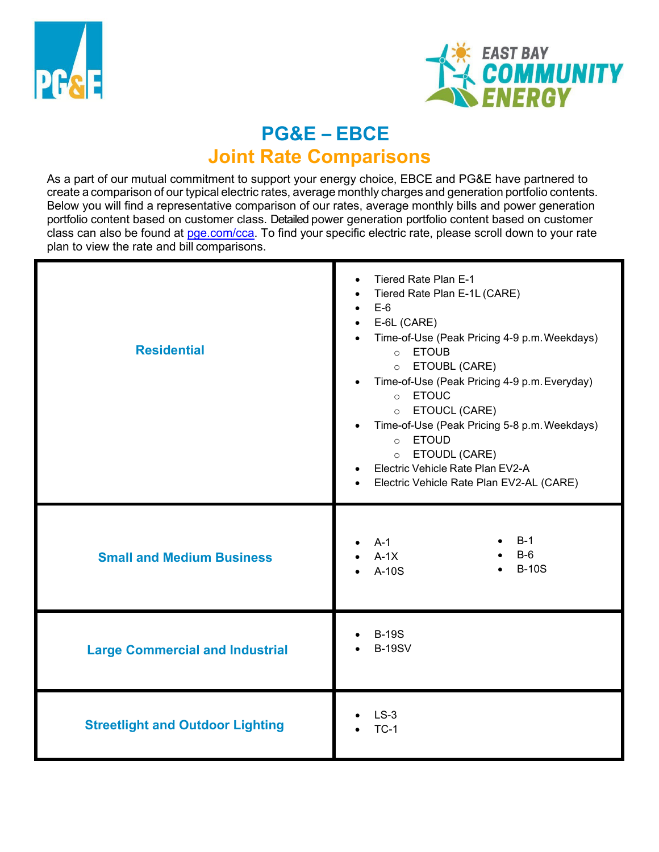



# **PG&E – EBCE Joint Rate Comparisons**

As a part of our mutual commitment to support your energy choice, EBCE and PG&E have partnered to create a comparison of our typical electric rates, average monthly charges and generation portfolio contents. Below you will find a representative comparison of our rates, average monthly bills and power generation portfolio content based on customer class. Detailed power generation portfolio content based on customer class can also be found at [pge.com/cca.](https://www.pge.com/cca) To find your specific electric rate, please scroll down to your rate plan to view the rate and bill comparisons.

| <b>Residential</b>                      | Tiered Rate Plan E-1<br>$\bullet$<br>Tiered Rate Plan E-1L (CARE)<br>$\bullet$<br>$E-6$<br>$\bullet$<br>E-6L (CARE)<br>Time-of-Use (Peak Pricing 4-9 p.m. Weekdays)<br><b>ETOUB</b><br>$\circ$<br>ETOUBL (CARE)<br>$\circ$<br>Time-of-Use (Peak Pricing 4-9 p.m. Everyday)<br>o ETOUC<br><b>ETOUCL (CARE)</b><br>$\circ$<br>Time-of-Use (Peak Pricing 5-8 p.m. Weekdays)<br>o <b>ETOUD</b><br>ETOUDL (CARE)<br>$\circ$<br>Electric Vehicle Rate Plan EV2-A<br>Electric Vehicle Rate Plan EV2-AL (CARE) |  |
|-----------------------------------------|--------------------------------------------------------------------------------------------------------------------------------------------------------------------------------------------------------------------------------------------------------------------------------------------------------------------------------------------------------------------------------------------------------------------------------------------------------------------------------------------------------|--|
| <b>Small and Medium Business</b>        | $B-1$<br>$A-1$<br>$B-6$<br>$A-1X$<br><b>B-10S</b><br>A-10S                                                                                                                                                                                                                                                                                                                                                                                                                                             |  |
| <b>Large Commercial and Industrial</b>  | <b>B-19S</b><br><b>B-19SV</b>                                                                                                                                                                                                                                                                                                                                                                                                                                                                          |  |
| <b>Streetlight and Outdoor Lighting</b> | $LS-3$<br>$TC-1$                                                                                                                                                                                                                                                                                                                                                                                                                                                                                       |  |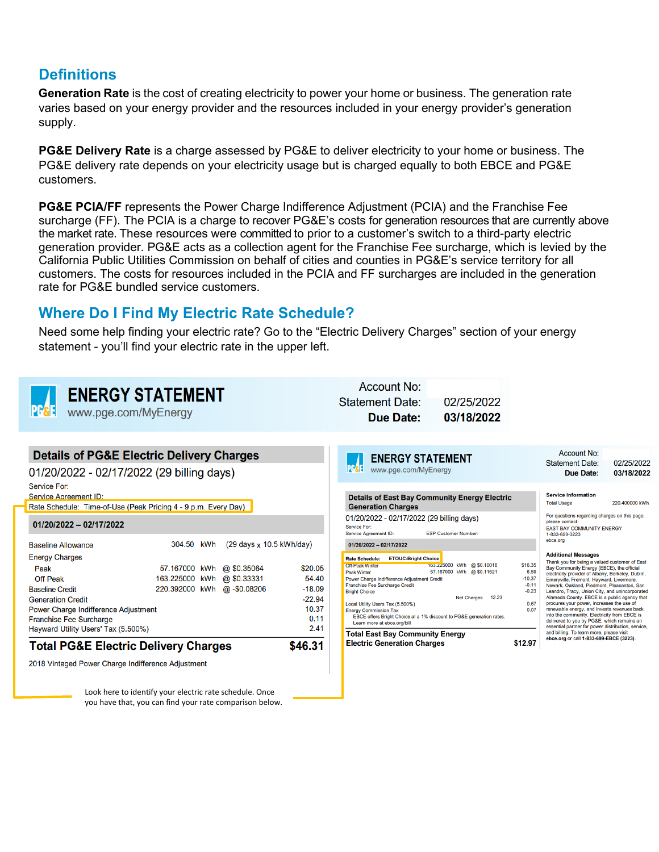## **Definitions**

**Generation Rate** is the cost of creating electricity to power your home or business. The generation rate varies based on your energy provider and the resources included in your energy provider's generation supply.

**PG&E Delivery Rate** is a charge assessed by PG&E to deliver electricity to your home or business. The PG&E delivery rate depends on your electricity usage but is charged equally to both EBCE and PG&E customers.

**PG&E PCIA/FF** represents the Power Charge Indifference Adjustment (PCIA) and the Franchise Fee surcharge (FF). The PCIA is a charge to recover PG&E's costs for generation resources that are currently above the market rate. These resources were committed to prior to a customer's switch to a third-party electric generation provider. PG&E acts as a collection agent for the Franchise Fee surcharge, which is levied by the California Public Utilities Commission on behalf of cities and counties in PG&E's service territory for all customers. The costs for resources included in the PCIA and FF surcharges are included in the generation rate for PG&E bundled service customers.

## **Where Do I Find My Electric Rate Schedule?**

Need some help finding your electric rate? Go to the "Electric Delivery Charges" section of your energy statement - you'll find your electric rate in the upper left.

 $\mathbf{A}$   $\mathbf{A}$ 

| www.pge.com/MyEnergy                                                                                                                                                                                                                                 | <b>ENERGY STATEMENT</b>                                                                                                                                      |                                                                   | ACCOUNT NO:<br><b>Statement Date:</b><br><b>Due Date:</b>                                                                                                                                                                                                                                                                                                                                                                                     | 02/25/2022<br>03/18/2022                                                     |                                                                   |                                                                                                                                                                                                                                                                                                                                                                                                                                                                                                                                                                                                                                                                                   |                          |
|------------------------------------------------------------------------------------------------------------------------------------------------------------------------------------------------------------------------------------------------------|--------------------------------------------------------------------------------------------------------------------------------------------------------------|-------------------------------------------------------------------|-----------------------------------------------------------------------------------------------------------------------------------------------------------------------------------------------------------------------------------------------------------------------------------------------------------------------------------------------------------------------------------------------------------------------------------------------|------------------------------------------------------------------------------|-------------------------------------------------------------------|-----------------------------------------------------------------------------------------------------------------------------------------------------------------------------------------------------------------------------------------------------------------------------------------------------------------------------------------------------------------------------------------------------------------------------------------------------------------------------------------------------------------------------------------------------------------------------------------------------------------------------------------------------------------------------------|--------------------------|
| 01/20/2022 - 02/17/2022 (29 billing days)<br>Service For:                                                                                                                                                                                            | <b>Details of PG&amp;E Electric Delivery Charges</b>                                                                                                         |                                                                   | <b>ENERGY STATEMENT</b><br>Pese<br>www.pge.com/MyEnergy                                                                                                                                                                                                                                                                                                                                                                                       |                                                                              |                                                                   | <b>Account No:</b><br><b>Statement Date:</b><br>Due Date:                                                                                                                                                                                                                                                                                                                                                                                                                                                                                                                                                                                                                         | 02/25/2022<br>03/18/2022 |
| Service Agreement ID:<br>Rate Schedule: Time-of-Use (Peak Pricing 4 - 9 p.m. Every Day)<br>$01/20/2022 - 02/17/2022$                                                                                                                                 |                                                                                                                                                              |                                                                   | <b>Details of East Bay Community Energy Electric</b><br><b>Generation Charges</b><br>01/20/2022 - 02/17/2022 (29 billing days)<br>Service For:<br>Service Agreement ID:                                                                                                                                                                                                                                                                       | <b>ESP Customer Number:</b>                                                  |                                                                   | <b>Service Information</b><br><b>Total Usage</b><br>For questions regarding charges on this page,<br>please contact:<br>EAST BAY COMMUNITY ENERGY<br>1-833-699-3223                                                                                                                                                                                                                                                                                                                                                                                                                                                                                                               | 220.400000 kWh           |
| <b>Baseline Allowance</b><br><b>Energy Charges</b><br>Peak<br><b>Off Peak</b><br><b>Baseline Credit</b><br><b>Generation Credit</b><br>Power Charge Indifference Adjustment<br><b>Franchise Fee Surcharge</b><br>Hayward Utility Users' Tax (5.500%) | 304.50 kWh<br>$(29 \text{ days} \times 10.5 \text{ kWh/day})$<br>57.167000 kWh<br>@ \$0.35064<br>163.225000 kWh<br>@ \$0.33331<br>220.392000 kWh @-\$0.08206 | \$20.05<br>54.40<br>$-18.09$<br>$-22.94$<br>10.37<br>0.11<br>2.41 | $01/20/2022 - 02/17/2022$<br>Rate Schedule: ETOUC-Bright Choice<br><b>Off-Peak Winter</b><br><b>Peak Winter</b><br>Power Charge Indifference Adjustment Credit<br>Franchise Fee Surcharge Credit<br><b>Bright Choice</b><br>Local Utility Users Tax (5.500%)<br><b>Energy Commission Tax</b><br>EBCE offers Bright Choice at a 1% discount to PG&E generation rates.<br>Learn more at ebce.org/bill<br><b>Total East Bay Community Energy</b> | 163.225000 kWh @ \$0.10018<br>57.167000 kWh @ \$0.11521<br>Net Charges 12.23 | \$16.35<br>6.59<br>$-10.37$<br>$-0.11$<br>$-0.23$<br>0.67<br>0.07 | ebce.org<br><b>Additional Messages</b><br>Thank you for being a valued customer of East<br>Bay Community Energy (EBCE), the official<br>electricity provider of Albany, Berkeley, Dublin,<br>Emeryville, Fremont, Hayward, Livermore,<br>Newark, Oakland, Piedmont, Pleasanton, San<br>Leandro, Tracy, Union City, and unincorporated<br>Alameda County. EBCE is a public agency that<br>procures your power, increases the use of<br>renewable energy, and invests revenues back<br>into the community. Electricity from EBCE is<br>delivered to you by PG&E, which remains an<br>essential partner for power distribution, service,<br>and billing. To learn more, please visit |                          |
| <b>Total PG&amp;E Electric Delivery Charges</b><br>2018 Vintaged Power Charge Indifference Adjustment                                                                                                                                                | Look here to identify your electric rate schedule. Once                                                                                                      | \$46.31                                                           | <b>Electric Generation Charges</b>                                                                                                                                                                                                                                                                                                                                                                                                            |                                                                              | \$12.97                                                           | ebce.org or call 1-833-699-EBCE (3223).                                                                                                                                                                                                                                                                                                                                                                                                                                                                                                                                                                                                                                           |                          |

you have that, you can find your rate comparison below.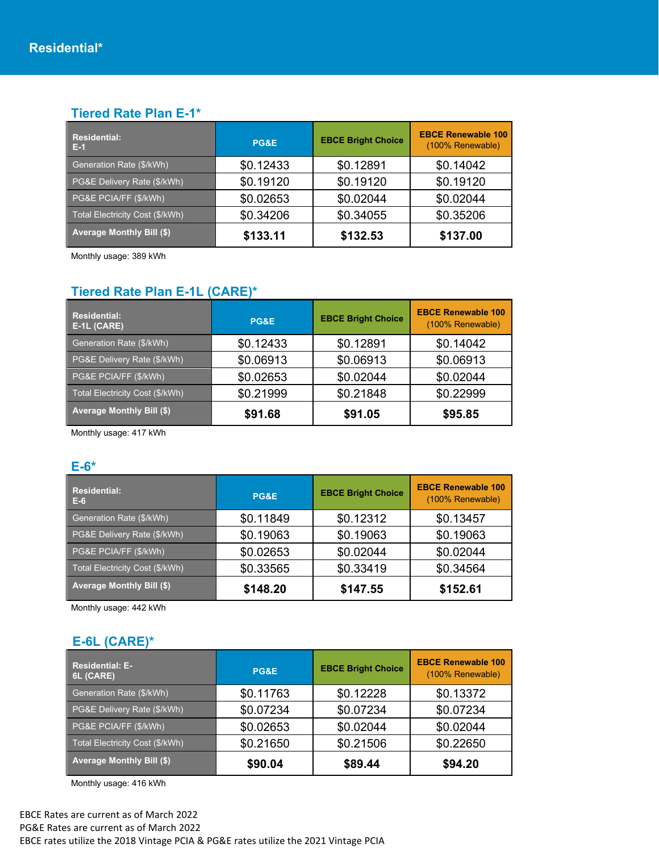#### **Tiered Rate Plan E-1\***

| <b>Residential:</b><br>- E-1     | <b>PG&amp;E</b> | <b>EBCE Bright Choice</b> | <b>EBCE Renewable 100</b><br>(100% Renewable) |
|----------------------------------|-----------------|---------------------------|-----------------------------------------------|
| Generation Rate (\$/kWh)         | \$0.12433       | \$0.12891                 | \$0.14042                                     |
| PG&E Delivery Rate (\$/kWh)      | \$0.19120       | \$0.19120                 | \$0.19120                                     |
| PG&E PCIA/FF (\$/kWh)            | \$0.02653       | \$0.02044                 | \$0.02044                                     |
| Total Electricity Cost (\$/kWh)  | \$0.34206       | \$0.34055                 | \$0.35206                                     |
| <b>Average Monthly Bill (\$)</b> | \$133.11        | \$132.53                  | \$137.00                                      |

Monthly usage: 389 kWh

### **Tiered Rate Plan E-1L (CARE)\***

| <b>Residential:</b><br>E-1L (CARE) | <b>PG&amp;E</b> | <b>EBCE Bright Choice</b> | <b>EBCE Renewable 100</b><br>(100% Renewable) |
|------------------------------------|-----------------|---------------------------|-----------------------------------------------|
| Generation Rate (\$/kWh)           | \$0.12433       | \$0.12891                 | \$0.14042                                     |
| PG&E Delivery Rate (\$/kWh)        | \$0.06913       | \$0.06913                 | \$0.06913                                     |
| PG&E PCIA/FF (\$/kWh)              | \$0.02653       | \$0.02044                 | \$0.02044                                     |
| Total Electricity Cost (\$/kWh)    | \$0.21999       | \$0.21848                 | \$0.22999                                     |
| <b>Average Monthly Bill (\$)</b>   | \$91.68         | \$91.05                   | \$95.85                                       |

Monthly usage: 417 kWh

#### **E-6\***

| <b>Residential:</b><br>$E-6$     | <b>PG&amp;E</b> | <b>EBCE Bright Choice</b> | <b>EBCE Renewable 100</b><br>(100% Renewable) |
|----------------------------------|-----------------|---------------------------|-----------------------------------------------|
| Generation Rate (\$/kWh)         | \$0.11849       | \$0.12312                 | \$0.13457                                     |
| PG&E Delivery Rate (\$/kWh)      | \$0.19063       | \$0.19063                 | \$0.19063                                     |
| PG&E PCIA/FF (\$/kWh)            | \$0.02653       | \$0.02044                 | \$0.02044                                     |
| Total Electricity Cost (\$/kWh)  | \$0.33565       | \$0.33419                 | \$0.34564                                     |
| <b>Average Monthly Bill (\$)</b> | \$148.20        | \$147.55                  | \$152.61                                      |

Monthly usage: 442 kWh

### **E-6L (CARE)\***

| <b>Residential: E-</b><br>6L (CARE) | <b>PG&amp;E</b> | <b>EBCE Bright Choice</b> | <b>EBCE Renewable 100</b><br>(100% Renewable) |
|-------------------------------------|-----------------|---------------------------|-----------------------------------------------|
| Generation Rate (\$/kWh)            | \$0.11763       | \$0.12228                 | \$0.13372                                     |
| PG&E Delivery Rate (\$/kWh)         | \$0.07234       | \$0.07234                 | \$0.07234                                     |
| PG&E PCIA/FF (\$/kWh)               | \$0.02653       | \$0.02044                 | \$0.02044                                     |
| Total Electricity Cost (\$/kWh)     | \$0.21650       | \$0.21506                 | \$0.22650                                     |
| <b>Average Monthly Bill (\$)</b>    | \$90.04         | \$89.44                   | \$94.20                                       |

Monthly usage: 416 kWh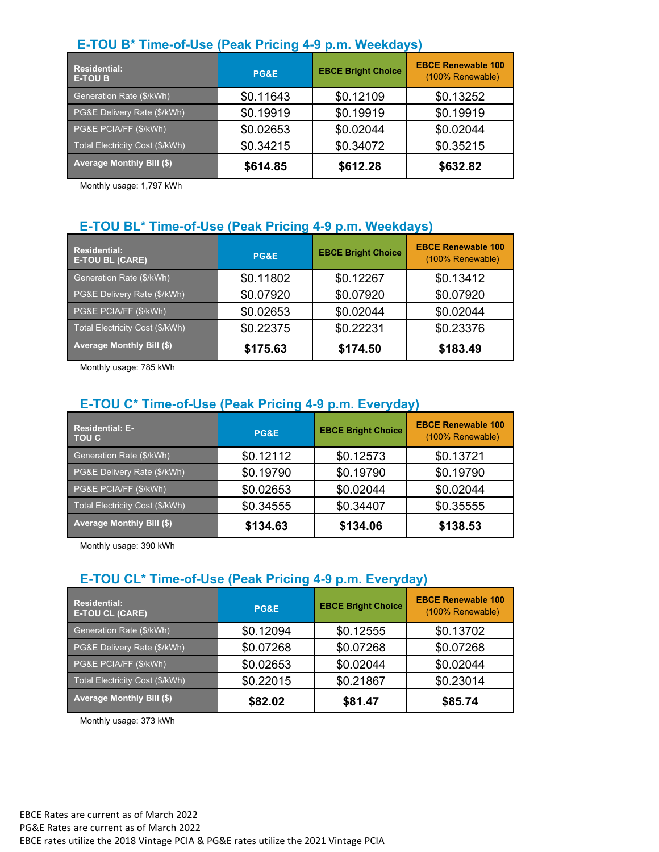## **E-TOU B\* Time-of-Use (Peak Pricing 4-9 p.m. Weekdays)**

| <b>Residential:</b><br><b>E-TOU B</b> | PG&E      | <b>EBCE Bright Choice</b> | <b>EBCE Renewable 100</b><br>(100% Renewable) |
|---------------------------------------|-----------|---------------------------|-----------------------------------------------|
| Generation Rate (\$/kWh)              | \$0.11643 | \$0.12109                 | \$0.13252                                     |
| PG&E Delivery Rate (\$/kWh)           | \$0.19919 | \$0.19919                 | \$0.19919                                     |
| PG&E PCIA/FF (\$/kWh)                 | \$0.02653 | \$0.02044                 | \$0.02044                                     |
| Total Electricity Cost (\$/kWh)       | \$0.34215 | \$0.34072                 | \$0.35215                                     |
| <b>Average Monthly Bill (\$)</b>      | \$614.85  | \$612.28                  | \$632.82                                      |

Monthly usage: 1,797 kWh

## **E-TOU BL\* Time-of-Use (Peak Pricing 4-9 p.m. Weekdays)**

| <b>Residential:</b><br><b>E-TOU BL (CARE)</b> | PG&E      | <b>EBCE Bright Choice</b> | <b>EBCE Renewable 100</b><br>(100% Renewable) |
|-----------------------------------------------|-----------|---------------------------|-----------------------------------------------|
| Generation Rate (\$/kWh)                      | \$0.11802 | \$0.12267                 | \$0.13412                                     |
| PG&E Delivery Rate (\$/kWh)                   | \$0.07920 | \$0.07920                 | \$0.07920                                     |
| PG&E PCIA/FF (\$/kWh)                         | \$0.02653 | \$0.02044                 | \$0.02044                                     |
| Total Electricity Cost (\$/kWh)               | \$0.22375 | \$0.22231                 | \$0.23376                                     |
| <b>Average Monthly Bill (\$)</b>              | \$175.63  | \$174.50                  | \$183.49                                      |

Monthly usage: 785 kWh

## **E-TOU C\* Time-of-Use (Peak Pricing 4-9 p.m. Everyday)**

| <b>Residential: E-</b><br><b>TOU C</b> | PG&E      | <b>EBCE Bright Choice</b> | <b>EBCE Renewable 100</b><br>(100% Renewable) |
|----------------------------------------|-----------|---------------------------|-----------------------------------------------|
| Generation Rate (\$/kWh)               | \$0.12112 | \$0.12573                 | \$0.13721                                     |
| PG&E Delivery Rate (\$/kWh)            | \$0.19790 | \$0.19790                 | \$0.19790                                     |
| PG&E PCIA/FF (\$/kWh)                  | \$0.02653 | \$0.02044                 | \$0.02044                                     |
| Total Electricity Cost (\$/kWh)        | \$0.34555 | \$0.34407                 | \$0.35555                                     |
| <b>Average Monthly Bill (\$)</b>       | \$134.63  | \$134.06                  | \$138.53                                      |

Monthly usage: 390 kWh

## **E-TOU CL\* Time-of-Use (Peak Pricing 4-9 p.m. Everyday)**

| <b>Residential:</b><br><b>E-TOU CL (CARE)</b> | <b>PG&amp;E</b> | <b>EBCE Bright Choice</b> | <b>EBCE Renewable 100</b><br>(100% Renewable) |
|-----------------------------------------------|-----------------|---------------------------|-----------------------------------------------|
| Generation Rate (\$/kWh)                      | \$0.12094       | \$0.12555                 | \$0.13702                                     |
| PG&E Delivery Rate (\$/kWh)                   | \$0.07268       | \$0.07268                 | \$0.07268                                     |
| PG&E PCIA/FF (\$/kWh)                         | \$0.02653       | \$0.02044                 | \$0.02044                                     |
| Total Electricity Cost (\$/kWh)               | \$0.22015       | \$0.21867                 | \$0.23014                                     |
| <b>Average Monthly Bill (\$)</b>              | \$82.02         | \$81.47                   | \$85.74                                       |

Monthly usage: 373 kWh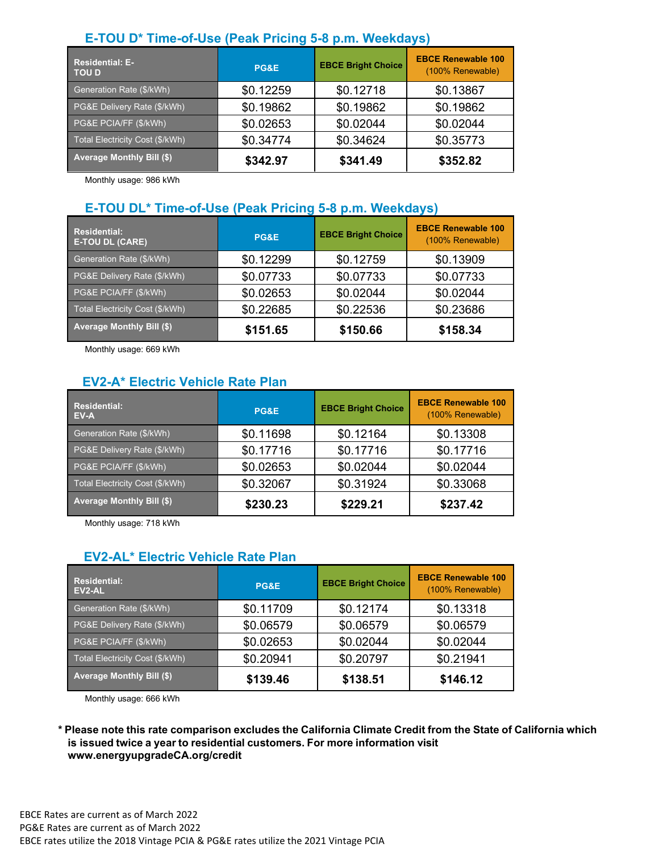### **E-TOU D\* Time-of-Use (Peak Pricing 5-8 p.m. Weekdays)**

| <b>Residential: E-</b><br><b>TOU D</b> | <b>PG&amp;E</b> | <b>EBCE Bright Choice</b> | <b>EBCE Renewable 100</b><br>(100% Renewable) |
|----------------------------------------|-----------------|---------------------------|-----------------------------------------------|
| Generation Rate (\$/kWh)               | \$0.12259       | \$0.12718                 | \$0.13867                                     |
| PG&E Delivery Rate (\$/kWh)            | \$0.19862       | \$0.19862                 | \$0.19862                                     |
| PG&E PCIA/FF (\$/kWh)                  | \$0.02653       | \$0.02044                 | \$0.02044                                     |
| Total Electricity Cost (\$/kWh)        | \$0.34774       | \$0.34624                 | \$0.35773                                     |
| <b>Average Monthly Bill (\$)</b>       | \$342.97        | \$341.49                  | \$352.82                                      |

Monthly usage: 986 kWh

#### **E-TOU DL\* Time-of-Use (Peak Pricing 5-8 p.m. Weekdays)**

| <b>Residential:</b><br><b>E-TOU DL (CARE)</b> | PG&E      | <b>EBCE Bright Choice</b> | <b>EBCE Renewable 100</b><br>(100% Renewable) |
|-----------------------------------------------|-----------|---------------------------|-----------------------------------------------|
| Generation Rate (\$/kWh)                      | \$0.12299 | \$0.12759                 | \$0.13909                                     |
| PG&E Delivery Rate (\$/kWh)                   | \$0.07733 | \$0.07733                 | \$0.07733                                     |
| PG&E PCIA/FF (\$/kWh)                         | \$0.02653 | \$0.02044                 | \$0.02044                                     |
| Total Electricity Cost (\$/kWh)               | \$0.22685 | \$0.22536                 | \$0.23686                                     |
| <b>Average Monthly Bill (\$)</b>              | \$151.65  | \$150.66                  | \$158.34                                      |

Monthly usage: 669 kWh

#### **EV2-A\* Electric Vehicle Rate Plan**

| <b>Residential:</b><br>EV-A      | <b>PG&amp;E</b> | <b>EBCE Bright Choice</b> | <b>EBCE Renewable 100</b><br>(100% Renewable) |
|----------------------------------|-----------------|---------------------------|-----------------------------------------------|
| Generation Rate (\$/kWh)         | \$0.11698       | \$0.12164                 | \$0.13308                                     |
| PG&E Delivery Rate (\$/kWh)      | \$0.17716       | \$0.17716                 | \$0.17716                                     |
| <b>PG&amp;E PCIA/FF (\$/kWh)</b> | \$0.02653       | \$0.02044                 | \$0.02044                                     |
| Total Electricity Cost (\$/kWh)  | \$0.32067       | \$0.31924                 | \$0.33068                                     |
| <b>Average Monthly Bill (\$)</b> | \$230.23        | \$229.21                  | \$237.42                                      |

Monthly usage: 718 kWh

#### **EV2-AL\* Electric Vehicle Rate Plan**

| <b>Residential:</b><br>EV2-AL    | PG&E      | <b>EBCE Bright Choice</b> | <b>EBCE Renewable 100</b><br>(100% Renewable) |
|----------------------------------|-----------|---------------------------|-----------------------------------------------|
| Generation Rate (\$/kWh)         | \$0.11709 | \$0.12174                 | \$0.13318                                     |
| PG&E Delivery Rate (\$/kWh)      | \$0.06579 | \$0.06579                 | \$0.06579                                     |
| PG&E PCIA/FF (\$/kWh)            | \$0.02653 | \$0.02044                 | \$0.02044                                     |
| Total Electricity Cost (\$/kWh)  | \$0.20941 | \$0.20797                 | \$0.21941                                     |
| <b>Average Monthly Bill (\$)</b> | \$139.46  | \$138.51                  | \$146.12                                      |

Monthly usage: 666 kWh

\* Please note this rate comparison excludes the California Climate Credit from the State of California which **is issued twice a year to residential customers. For more information visit [www.energyupgradeCA.org/credit](http://www.energyupgradeca.org/credit)**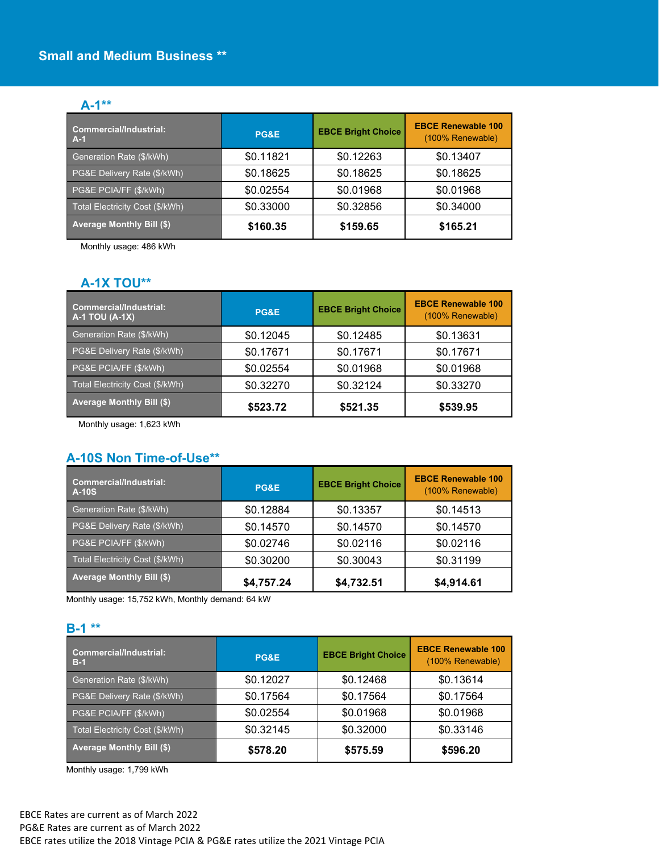#### **A-1\*\***

| <b>Commercial/Industrial:</b><br>$A-1$ | <b>PG&amp;E</b> | <b>EBCE Bright Choice</b> | <b>EBCE Renewable 100</b><br>(100% Renewable) |
|----------------------------------------|-----------------|---------------------------|-----------------------------------------------|
| Generation Rate (\$/kWh)               | \$0.11821       | \$0.12263                 | \$0.13407                                     |
| PG&E Delivery Rate (\$/kWh)            | \$0.18625       | \$0.18625                 | \$0.18625                                     |
| PG&E PCIA/FF (\$/kWh)                  | \$0.02554       | \$0.01968                 | \$0.01968                                     |
| Total Electricity Cost (\$/kWh)        | \$0.33000       | \$0.32856                 | \$0.34000                                     |
| <b>Average Monthly Bill (\$)</b>       | \$160.35        | \$159.65                  | \$165.21                                      |

Monthly usage: 486 kWh

#### **A-1X TOU\*\***

| <b>Commercial/Industrial:</b><br><b>A-1 TOU (A-1X)</b> | PG&E      | <b>EBCE Bright Choice</b> | <b>EBCE Renewable 100</b><br>(100% Renewable) |
|--------------------------------------------------------|-----------|---------------------------|-----------------------------------------------|
| Generation Rate (\$/kWh)                               | \$0.12045 | \$0.12485                 | \$0.13631                                     |
| PG&E Delivery Rate (\$/kWh)                            | \$0.17671 | \$0.17671                 | \$0.17671                                     |
| PG&E PCIA/FF (\$/kWh)                                  | \$0.02554 | \$0.01968                 | \$0.01968                                     |
| Total Electricity Cost (\$/kWh)                        | \$0.32270 | \$0.32124                 | \$0.33270                                     |
| <b>Average Monthly Bill (\$)</b>                       | \$523.72  | \$521.35                  | \$539.95                                      |

Monthly usage: 1,623 kWh

## **A-10S Non Time-of-Use\*\***

| <b>Commercial/Industrial:</b><br><b>A-10S</b> | PG&E       | <b>EBCE Bright Choice</b> | <b>EBCE Renewable 100</b><br>(100% Renewable) |
|-----------------------------------------------|------------|---------------------------|-----------------------------------------------|
| Generation Rate (\$/kWh)                      | \$0.12884  | \$0.13357                 | \$0.14513                                     |
| PG&E Delivery Rate (\$/kWh)                   | \$0.14570  | \$0.14570                 | \$0.14570                                     |
| PG&E PCIA/FF (\$/kWh)                         | \$0.02746  | \$0.02116                 | \$0.02116                                     |
| Total Electricity Cost (\$/kWh)               | \$0.30200  | \$0.30043                 | \$0.31199                                     |
| <b>Average Monthly Bill (\$)</b>              | \$4,757.24 | \$4,732.51                | \$4,914.61                                    |

Monthly usage: 15,752 kWh, Monthly demand: 64 kW

#### **B-1 \*\***

| <b>Commercial/Industrial:</b><br>$B-1$ | PG&E      | <b>EBCE Bright Choice</b> | <b>EBCE Renewable 100</b><br>(100% Renewable) |
|----------------------------------------|-----------|---------------------------|-----------------------------------------------|
| Generation Rate (\$/kWh)               | \$0.12027 | \$0.12468                 | \$0.13614                                     |
| PG&E Delivery Rate (\$/kWh)            | \$0.17564 | \$0.17564                 | \$0.17564                                     |
| PG&E PCIA/FF (\$/kWh)                  | \$0.02554 | \$0.01968                 | \$0.01968                                     |
| Total Electricity Cost (\$/kWh)        | \$0.32145 | \$0.32000                 | \$0.33146                                     |
| <b>Average Monthly Bill (\$)</b>       | \$578.20  | \$575.59                  | \$596.20                                      |

Monthly usage: 1,799 kWh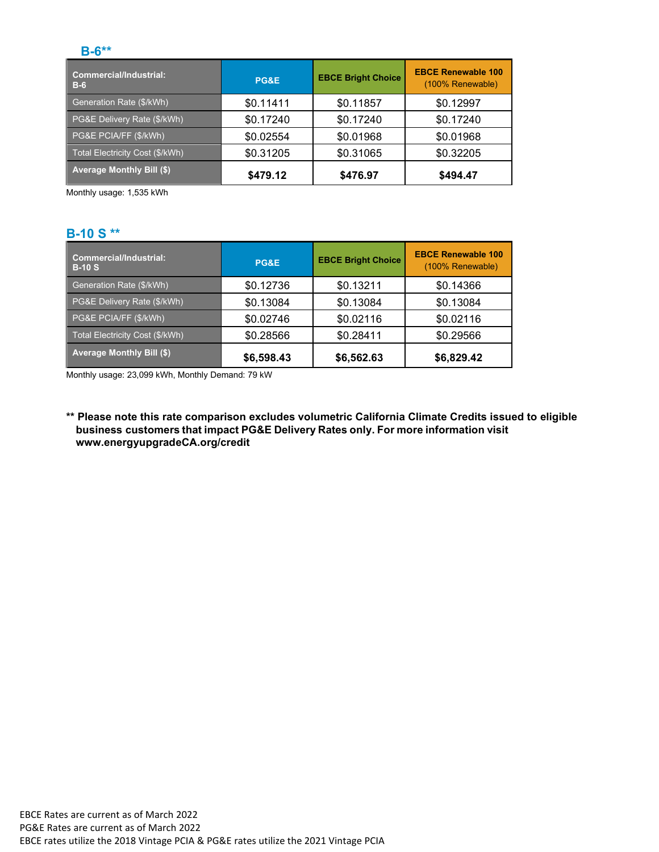#### **B-6\*\***

| <b>Commercial/Industrial:</b><br>$B-6$ | PG&E      | <b>EBCE Bright Choice</b> | <b>EBCE Renewable 100</b><br>(100% Renewable) |
|----------------------------------------|-----------|---------------------------|-----------------------------------------------|
| Generation Rate (\$/kWh)               | \$0.11411 | \$0.11857                 | \$0.12997                                     |
| PG&E Delivery Rate (\$/kWh)            | \$0.17240 | \$0.17240                 | \$0.17240                                     |
| PG&E PCIA/FF (\$/kWh)                  | \$0.02554 | \$0.01968                 | \$0.01968                                     |
| Total Electricity Cost (\$/kWh)        | \$0.31205 | \$0.31065                 | \$0.32205                                     |
| <b>Average Monthly Bill (\$)</b>       | \$479.12  | \$476.97                  | \$494.47                                      |

Monthly usage: 1,535 kWh

### **B-10 S \*\***

| <b>Commercial/Industrial:</b><br>$B-10S$ | PG&E       | <b>EBCE Bright Choice</b> | <b>EBCE Renewable 100</b><br>(100% Renewable) |
|------------------------------------------|------------|---------------------------|-----------------------------------------------|
| Generation Rate (\$/kWh)                 | \$0.12736  | \$0.13211                 | \$0.14366                                     |
| PG&E Delivery Rate (\$/kWh)              | \$0.13084  | \$0.13084                 | \$0.13084                                     |
| PG&E PCIA/FF (\$/kWh)                    | \$0.02746  | \$0.02116                 | \$0.02116                                     |
| Total Electricity Cost (\$/kWh)          | \$0.28566  | \$0.28411                 | \$0.29566                                     |
| <b>Average Monthly Bill (\$)</b>         | \$6,598.43 | \$6,562.63                | \$6,829.42                                    |

Monthly usage: 23,099 kWh, Monthly Demand: 79 kW

**\*\* Please note this rate comparison excludes volumetric California Climate Credits issued to eligible business customers that impact PG&E Delivery Rates only. For more information visit [www.energyupgradeCA.org/credit](http://www.energyupgradeca.org/credit)**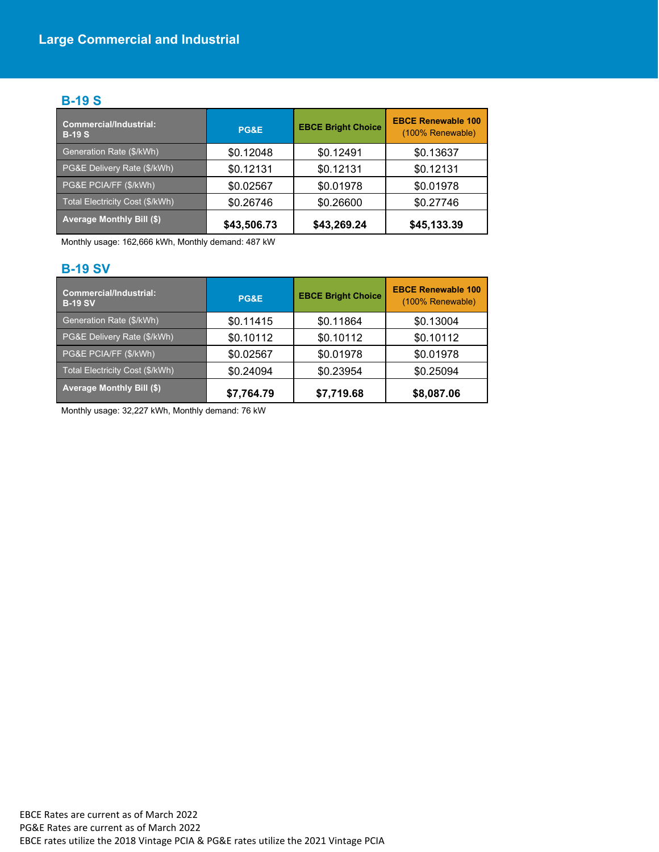## **B-19 S**

| <b>Commercial/Industrial:</b><br>$B-19S$ | PG&E        | <b>EBCE Bright Choice</b> | <b>EBCE Renewable 100</b><br>(100% Renewable) |
|------------------------------------------|-------------|---------------------------|-----------------------------------------------|
| Generation Rate (\$/kWh)                 | \$0.12048   | \$0.12491                 | \$0.13637                                     |
| PG&E Delivery Rate (\$/kWh)              | \$0.12131   | \$0.12131                 | \$0.12131                                     |
| PG&E PCIA/FF (\$/kWh)                    | \$0.02567   | \$0.01978                 | \$0.01978                                     |
| Total Electricity Cost (\$/kWh)          | \$0.26746   | \$0.26600                 | \$0.27746                                     |
| <b>Average Monthly Bill (\$)</b>         | \$43,506.73 | \$43,269.24               | \$45,133.39                                   |

Monthly usage: 162,666 kWh, Monthly demand: 487 kW

## **B-19 SV**

| <b>Commercial/Industrial:</b><br><b>B-19 SV</b> | PG&E       | <b>EBCE Bright Choice</b> | <b>EBCE Renewable 100</b><br>(100% Renewable) |
|-------------------------------------------------|------------|---------------------------|-----------------------------------------------|
| Generation Rate (\$/kWh)                        | \$0.11415  | \$0.11864                 | \$0.13004                                     |
| PG&E Delivery Rate (\$/kWh)                     | \$0.10112  | \$0.10112                 | \$0.10112                                     |
| PG&E PCIA/FF (\$/kWh)                           | \$0.02567  | \$0.01978                 | \$0.01978                                     |
| Total Electricity Cost (\$/kWh)                 | \$0.24094  | \$0.23954                 | \$0.25094                                     |
| <b>Average Monthly Bill (\$)</b>                | \$7,764.79 | \$7,719.68                | \$8,087.06                                    |

Monthly usage: 32,227 kWh, Monthly demand: 76 kW